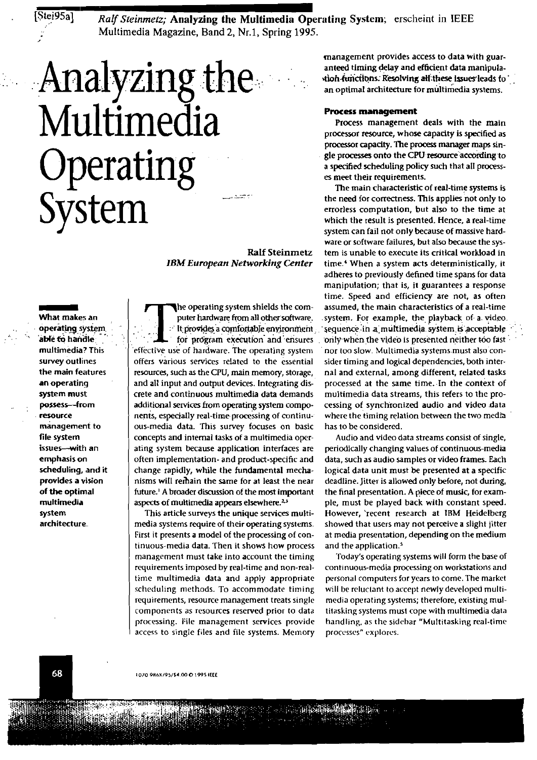$Stei95a1$ 

Ralf Steinmetz; Analyzing the Multimedia Operating System; erscheint in IEEE Multimedia Magazine, Band 2, Nr.1, Spring 1995.

# Analyzing the Multimedia Operating System

**Ralf Steinmetz IBM European Networking Center** 

What makes an operating system able to handle multimedia? This survey outlines the main features an operating system must possess-from resource management to file system issues-with an emphasis on scheduling, and it provides a vision of the optimal multimedia system architecture.

the operating system shields the computer hardware from all other software. It provides a comfortable environment for program execution and ensures effective use of hardware. The operating system offers various services related to the essential resources, such as the CPU, main memory, storage, and all input and output devices. Integrating discrete and continuous multimedia data demands additional services from operating system components, especially real-time processing of continuous-media data. This survey focuses on basic concepts and internal tasks of a multimedia operating system because application interfaces are often implementation- and product-specific and change rapidly, while the fundamental mechanisms will remain the same for at least the near future.<sup>1</sup> A broader discussion of the most important aspects of multimedia appears elsewhere.<sup>2,3</sup>

This article surveys the unique services multimedia systems require of their operating systems. First it presents a model of the processing of continuous-media data. Then it shows how process management must take into account the timing requirements imposed by real-time and non-realtime multimedia data and apply appropriate scheduling methods. To accommodate timing requirements, resource management treats single components as resources reserved prior to data processing. File management services provide access to single files and file systems. Memory

management provides access to data with guaranteed timing delay and efficient data manipulastion functions. Resolving all these issues leads to an optimal architecture for multimedia systems.

## **Process management**

Process management deals with the main processor resource, whose capacity is specified as processor capacity. The process manager maps single processes onto the CPU resource according to a specified scheduling policy such that all processes meet their requirements.

The main characteristic of real-time systems is the need for correctness. This applies not only to errorless computation, but also to the time at which the result is presented. Hence, a real-time system can fail not only because of massive hardware or software failures, but also because the system is unable to execute its critical workload in time.<sup>4</sup> When a system acts deterministically, it adheres to previously defined time spans for data manipulation; that is, it guarantees a response time. Speed and efficiency are not, as often assumed, the main characteristics of a real-time system. For example, the playback of a video sequence in a multimedia system is acceptable only when the video is presented neither too fast nor too slow. Multimedia systems must also consider timing and logical dependencies, both internal and external, among different, related tasks processed at the same time. In the context of multimedia data streams, this refers to the processing of synchronized audio and video data where the timing relation between the two media has to be considered.

Audio and video data streams consist of single, periodically changing values of continuous-media data, such as audio samples or video frames. Each logical data unit must be presented at a specific deadline. Jitter is allowed only before, not during, the final presentation. A piece of music, for example, must be played back with constant speed. However, 'recent research at IBM Heidelberg showed that users may not perceive a slight jitter at media presentation, depending on the medium and the application.<sup>5</sup>

Today's operating systems will form the base of continuous-media processing on workstations and personal computers for years to come. The market will be reluctant to accept newly developed multimedia operating systems; therefore, existing multitasking systems must cope with multimedia data handling, as the sidebar "Multitasking real-time processes" explores.

68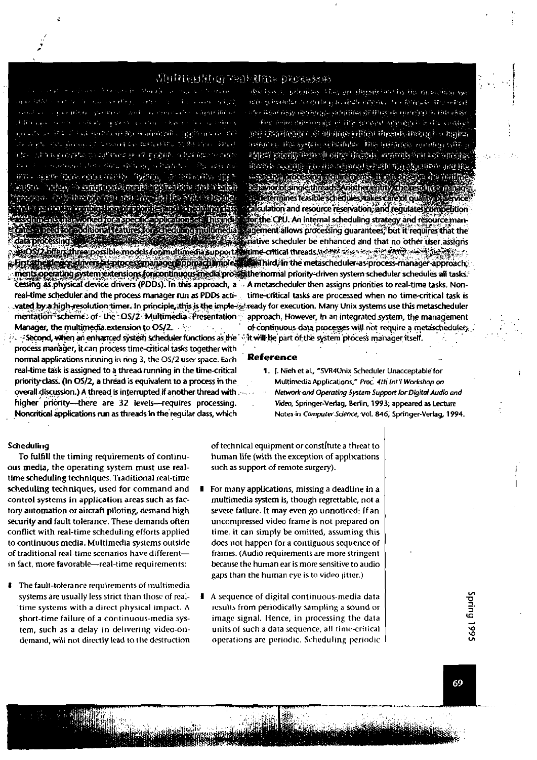# JUIHENEU TEIFIERE DEESSES

The most spilet and as a guarable spatines, with responsible chemistry وتنتوقت ليوارد فأراحته بعرفات وتواجدوا افردها والراقع فإرمات والتحاجات وبرزر والألكأ a valvica circo S (ad participana no traditangulo, oppirantistas). 150 There he find you is comed to make the mass in the រង្គ- នៅមេស្រុកក្រុងច្បាប់ស្រាមរង អ្នកទី ក្រុង្គាល់ ក្រុងការងារបេតុក្រុម Ar about the complete special and complete the sura (1944) i sulfugid reibiorgisidigh mi i ciki paper. O habeth chemistra di Be va elente. <u>de la servición de la contención de la contención de la contencia de la contencia de la contencia de la conten</u> assuments that worked for a specific application set a historial call = 1 15 11 0 resolutionals catures or calls to the multimedial data processing. The state of the contract of the contract of **ATA 4** CS/2 offers three possible models for multimedia support Fintatherlevice divers as process manager approach impless to

ments cessing as physical device drivers (PDDs). In this approach, a real-time scheduler and the process manager run as PDDs activated by a high-resolution timer. In principle, this is the imple-se ready for execution. Many Unix systems use this metascheduler mentation scheme: of the : OS/2 Multimedia Presentation  $\mathcal{O}_{\mathcal{A},\mathcal{C}}$ Manager, the multimedia extension to OS/2.

... Second, when an enhanced system scheduler functions as the will be part of the system process manager itself. process manager, it can process time-critical tasks together with normal applications running in ring 3, the OS/2 user space. Each real-time task is assigned to a thread running in the time-critical priority class. (In OS/2, a thread is equivalent to a process in the overall discussion.) A thread is interrupted if another thread with. higher priority—there are 32 levels—requires processing. Noncritical applications run as threads in the regular class, which

## die in de blodine they are digital as by the grounding ve 126: printed de l'exigencial de Rose Andria, fra Bilga & Trouvrois ales dela della certifica della città di finera di mortino al fine abbe

કરે હોય છે. તેમ જ પશુપાલન જ વ્યક્ત કરી છે. આ પશુપાલન જ પશુપાલન જ પશુપાલન જ પશુપાલન જ we argenting the of the fine official through the grand avence, the sylem schemular. The homes montey with a মহায়ম চৰকা(yillan all olim in Andres Amhails and an appelled inamis coopporties the subject operations objections original est separation surround in the presentation a determines reasible schedules takes care of quality bi service alculation and resource reservation, and requlates competition for the CPU. An internal scheduling strategy and resource management allows processing guarantees, but it requires that the native scheduler be enhanced and that no other user assigns altime-critical threads works are seen the street and the street Third, in the metascheduler-as-process-manager approach, operating system extensions for continuous media pro asthe normal priority driven system scheduler schedules all tasks.

> A metascheduler then assigns priorities to real-time tasks. Nontime-critical tasks are processed when no time-critical task is approach. However, in an integrated system, the management of continuous-data processes will not require a metascheduler; .

## Reference

1. J. Nieh et al., "SVR4Unix Scheduler Unacceptable for Multimedia Applications," Proc. 4th Int'l Workshop on Network and Operating System Support for Digital Audio and Video, Springer-Verlag, Berlin, 1993; appeared as Lecture Notes in Computer Science, Vol. 846, Springer-Verlag, 1994.

# Scheduling

To fulfill the timing requirements of continuous media, the operating system must use realtime scheduling techniques. Traditional real-time scheduling techniques, used for command and control systems in application areas such as factory automation or aircraft piloting, demand high security and fault tolerance. These demands often conflict with real-time scheduling efforts applied to continuous media. Multimedia systems outside of traditional real-time scenarios have differentin fact, more favorable-real-time requirements:

The fault-tolerance requirements of multimedia systems are usually less strict than those of realtime systems with a direct physical impact. A short-time failure of a continuous-media system, such as a delay in delivering video-ondemand, will not directly lead to the destruction of technical equipment or constitute a threat to human life (with the exception of applications such as support of remote surgery).

- For many applications, missing a deadline in a multimedia system is, though regrettable, not a severe failure. It may even go unnoticed: If an uncompressed video frame is not prepared on time, it can simply be omitted, assuming this does not happen for a contiguous sequence of frames. (Audio requirements are more stringent because the human ear is more sensitive to audio gaps than the human eye is to video jitter.)
- A sequence of digital continuous-media data results from periodically sampling a sound or image signal. Hence, in processing the data units of such a data sequence, all time-critical operations are periodic. Scheduling periodic-

**Socing 1995**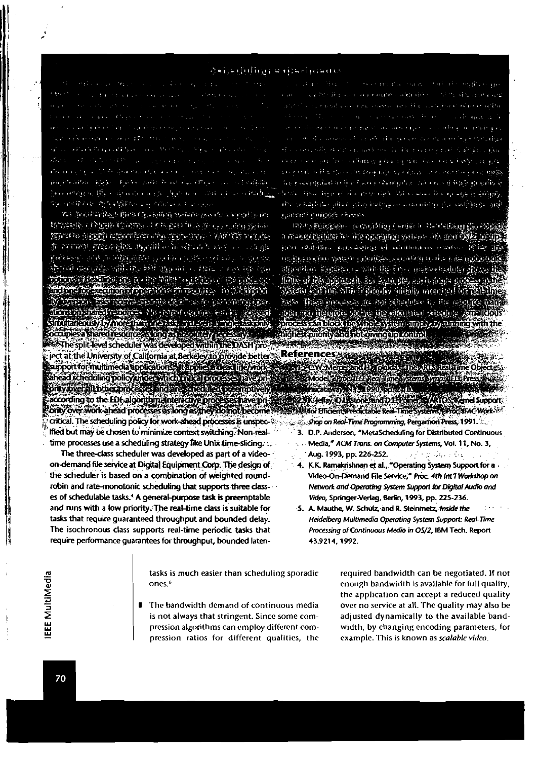## Seiperfulings weiperführung.

 $\alpha$  and  $\alpha$ **Contract Contract Contract** Le Paul Entreprendit face in color (1993) to the first property and continued ingeration high there will be of distinguishing straining is a coefficient of the component of the properties of the state of the coefficient  $\widehat{\omega_{\alpha}}$ المراجع والمستقر والموارد والمتواطئ والمتعارفة المتحدث والمتعارف والمتحدث والمنافذة والمتحدث

 $\alpha$  and the set of the control of the component of the finite MATERIAL ET MENT COMME DE CELECITIES DE LA CONSTRUER KOTO DELLE ESCOLETO DE TELEVO - DELLES Serprove Creates destinate affects and a country Karakan di Kabupatén Sulah Kabupaten Salah Jawa Stereo assigned with the 201 approximation over a reverse the TITE IN COURT IN EACH OF THE ALL THE TIME OF THE SEA ndin Phoenangha (mentre du exure l'ancient) Y UCCO, BK COM COMING CONTRACTORY OF occupies a shared resource is ong as the utilely receiving. The split-level scheduler was developed within the DASH project at the University of California at Berkeley to provide better. support for multimedia applications. It applies a deadline/work-Sahead scheduling policy under which tritical processes have priprivaver all but er processes and are scheduled preemptively according to the EDF algorithm anteractive processes have britan and a series with the search of Poince of Nul<br>According to the EDF algorithm anteractive processes have britan as 23 K Jeffay DJ Stone and DT Poince of Nulo<br> critical. The scheduling policy for work-ahead processes is unspecified but may be chosen to minimize context switching. Non-realtime processes use a scheduling strategy fike Unix time-slicing. ...

The three-class scheduler was developed as part of a videoon-demand file service at Digital Equipment Corp. The design of the scheduler is based on a combination of weighted roundrobin and rate-monotonic scheduling that supports three classes of schedulable tasks.<sup>4</sup> A general-purpose task is preemptable and runs with a low pnority. The real-time class is suitable for tasks that require quaranteed throughput and bounded delay. The isochronous class supports real-time periodic tasks that require performance quarantees for throughput, bounded laten-

as contra los presentos en el mesmo escerero de suela filipidad. La ferra el médico de glande de الموالي والمتوافق المستقبل والمتواصل والموالي والمتواطئ والمستحد والمستحد والمتحدث والمستحد أعاروا والمراجح فتأتين وحاد المعادرة الطافون والصوارع والصاريح والمعارف والمحاجر الحماد ance rad in H a sport straighteness of each control brog small high  $\mathfrak{h}_{\mathcal{H}}\circ \mathfrak{c}_2\circ \mathfrak{c}_3\circ \mathfrak{c}_4\circ \mathfrak{c}_5\circ \mathfrak{c}_5\circ \mathfrak{c}_6\circ \mathfrak{c}_7\circ \mathfrak{c}_8\circ \mathfrak{c}_3\circ \mathfrak{c}_5\circ \mathfrak{c}_7\circ \mathfrak{c}_8\circ \mathfrak{c}_8\circ \mathfrak{c}_9\circ \mathfrak{c}_8\circ \mathfrak{c}_9\circ \mathfrak{c}_9\circ \mathfrak{c}_9\circ \mathfrak{c}_9\circ \mathfrak{c}_9\circ \mathfrak{$ ી પાસ વિશ્વન વિદ્યાર કરે તો આજે પાસેલી, પિતે આ મથમ જિલ્લા કરી માટે દેશ સંજોતારી, d'a platific distinction compared a giore de colored per ຍພາະກຳ ການຊົມຂະຫຍາຍຂະ

 $\|11(\tilde{\gamma}_1)^\gamma \cdot \gamma_1^\gamma \|^2 \|\tilde{\gamma}_1\|^2 \leq \|\tilde{\gamma}_1\|^2 \|\tilde{\gamma}_1\|^2 \leq \|\tilde{\gamma}_1\|^2 \|\tilde{\gamma}_1\|^2 \leq \|\tilde{\gamma}_1\|^2 \|\tilde{\gamma}_1\|^2 \leq \|\tilde{\gamma}_1\|^2 \|\tilde{\gamma}_1\|^2 \leq \|\tilde{\gamma}_1\|^2 \|\tilde{\gamma}_1\|^2 \leq \|\tilde{\gamma}_1\|^2 \|\tilde{\gamma}_1\|^2 \leq \|\tilde{\gamma}_1\|^2 \|\tilde{\gamma}_1\|^2 \leq \|\tilde{\gamma$ a mateginalism is des operating systems als and SSR to all pon rentale para exists of continuous invitere. They the make set of my value of the first specific in the rule make and athentin surfaceor - with the Observative later after the finits of his populated sor somple, each more ontain in system on an one of prody anially meaned by **12 lab**e has there proceeds in any encourse by the mounts man ger and therefore women the edengiest schedule Americans process can block the whole system simply, by unining with the anghest priority and not gwing up control. 

- References<br>EW Mere and Digital up a kus religie Object betww.met.com<br>Wodel *APOCALLE Real (Time by cams sympa*l FE Press) Picatava) NP 1990 po 2 B
	- signal on Real-Time Programming, Pergamon Press, 1991.
		- 3. D.P. Anderson, "MetaScheduling for Distributed Continuous Media," ACM Trans. on Computer Systems, Vol. 11, No. 3, Aug. 1993, pp. 226-252. And the problem of the state
		- 4. K.K. Ramakrishnan et al., "Operating System Support for a Video-On-Demand File Service," Proc. 4th Int1 Workshop on Network and Operating System Support for Digital Audio and Video, Springer-Verlag, Berlin, 1993, pp. 225-236.
		- 5. A. Mauthe, W. Schulz, and R. Steinmetz, Inside the Heidelberg Multimedia Operating System Support: Real-Time Processing of Continuous Medio in OS/2, IBM Tech. Report 43.9214, 1992.

tasks is much easier than scheduling sporadic ones.<sup>6</sup>

The bandwidth demand of continuous media is not always that stringent. Since some compression algorithms can employ different compression ratios for different qualities, the required bandwidth can be negotiated. If not enough bandwidth is available for full quality, the application can accept a reduced quality over no service at all. The quality may also be adjusted dynamically to the available bandwidth, by changing encoding parameters, for example. This is known as scalable video.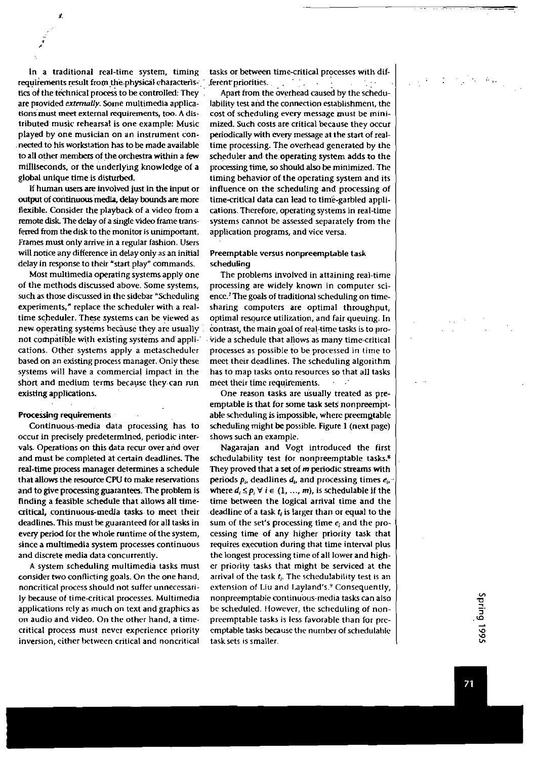In a traditional real-time system, timing requirements result from the physical characteristics of the technical process to be controlled. They are provided externally. Some multimedia applications must meet external requirements, too. A distributed music rehearsal is one example: Music played by one musician on an instrument connected to his workstation has to be made available. to all other members of the orchestra within a few milliseconds, or the underlying knowledge of a global unique time is disturbed.

If human users are involved just in the input or output of continuous media, delay bounds are more flexible. Consider the playback of a video from a remote disk. The delay of a single video frame transferred from the disk to the monitor is unimportant. Frames must only arrive in a regular fashion. Users will notice any difference in delay only as an initial delay in response to their "start play" commands.

Most multimedia operating systems apply one of the methods discussed above. Some systems, such as those discussed in the sidebar "Scheduling experiments," replace the scheduler with a realtime scheduler. These systems can be viewed as new operating systems because they are usually not compatible with existing systems and applications. Other systems apply a metascheduler based on an existing process manager. Only these systems will have a commercial impact in the short and medium terms because they can run existing applications.

#### **Processing requirements**

Continuous-media data processing has to occur in precisely predetermined, periodic intervals. Operations on this data recur over and over and must be completed at certain deadlines. The real-time process manager determines a schedule that allows the resource CPU to make reservations and to give processing guarantees. The problem is finding a feasible schedule that allows all timecritical, continuous-media tasks to meet their deadlines. This must be guaranteed for all tasks in every period for the whole runtime of the system, since a multimedia system processes continuous and discrete media data concurrently.

A system scheduling multimedia tasks must consider two conflicting goals. On the one hand, noncritical process should not suffer unnecessarily because of time-critical processes. Multimedia applications rely as much on text and graphics as on audio and video. On the other hand, a timecritical process must never experience priority inversion, either between critical and noncritical

tasks or between time-critical processes with dif- $\mathcal{F}_{\mathcal{A}}$  ,  $\mathcal{F}_{\mathcal{A}}$  , ferent priorities.

Apart from the overhead caused by the schedulability test and the connection establishment, the cost of scheduling every message must be minimized. Such costs are critical because they occur periodically with every message at the start of realtime processing. The overhead generated by the scheduler and the operating system adds to the processing time, so should also be minimized. The timing behavior of the operating system and its influence on the scheduling and processing of time-critical data can lead to time-garbled applications. Therefore, operating systems in real-time systems cannot be assessed separately from the application programs, and vice versa.

## Preemptable versus nonpreemptable task scheduling

The problems involved in attaining real-time processing are widely known in computer science.<sup>7</sup> The goals of traditional scheduling on timesharing computers are optimal throughput, optimal resource utilization, and fair queuing. In contrast, the main goal of real-time tasks is to provide a schedule that allows as many time-critical processes as possible to be processed in time to meet their deadlines. The scheduling algorithm has to map tasks onto resources so that all tasks meet their time requirements.  $\mathcal{A}^{\mathcal{A}}$  and  $\mathcal{A}^{\mathcal{A}}$ 

One reason tasks are usually treated as preemptable is that for some task sets nonpreemptable scheduling is impossible, where preemptable scheduling might be possible. Figure 1 (next page) shows such an example.

Nagarajan and Vogt introduced the first schedulability test for nonpreemptable tasks.<sup>8</sup> They proved that a set of *m* periodic streams with periods  $p_{\mu}$  deadlines  $d_{\mu}$  and processing times  $e_{\mu}$ . where  $d_i \le p_i \ \forall \ i \in (1, ..., m)$ , is schedulable if the time between the logical arrival time and the deadline of a task  $t_i$  is larger than or equal to the sum of the set's processing time  $e_i$  and the processing time of any higher priority task that requires execution during that time interval plus the longest processing time of all lower and higher priority tasks that might be serviced at the arrival of the task  $t_i$ . The schedulability test is an extension of Liu and Layland's.<sup>9</sup> Consequently, nonpreemptable continuous-media tasks can also be scheduled. However, the scheduling of nonpreemptable tasks is less favorable than for preemptable tasks because the number of schedulahle task sets is smaller.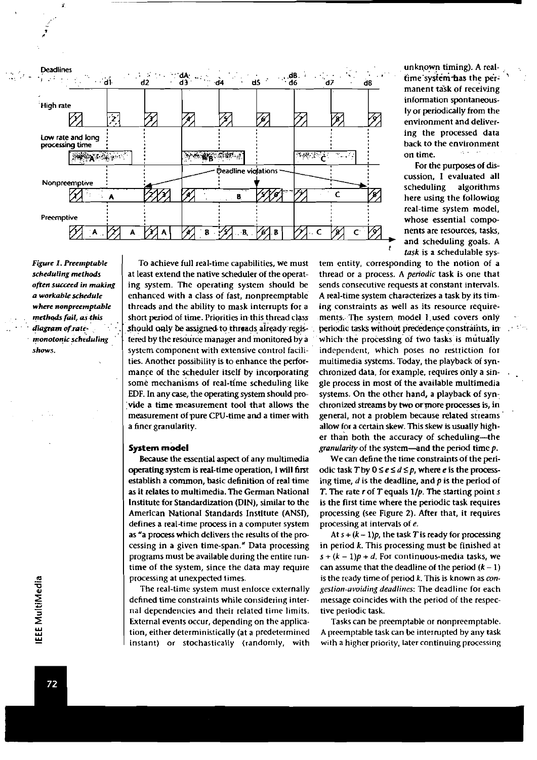| <b>Deadlines</b><br>$\overline{a}$<br>$\gamma \rightarrow -\infty$ |                | $\frac{dA}{d2}$ . $\frac{dA}{d3}$ |   | d4                        | . dB.<br>∂d6<br>$\sim$ ds $^{\circ}$ | d7  | d8 |
|--------------------------------------------------------------------|----------------|-----------------------------------|---|---------------------------|--------------------------------------|-----|----|
| High rate                                                          |                |                                   |   |                           |                                      |     |    |
|                                                                    | $\overline{2}$ |                                   |   |                           | 'H.                                  | ัช  |    |
| Low rate and long<br>processing time                               |                |                                   |   |                           |                                      |     |    |
|                                                                    |                |                                   |   |                           |                                      | 151 |    |
|                                                                    |                |                                   |   | Deadline violations       |                                      |     |    |
| Nonpreemptive                                                      |                |                                   |   |                           |                                      |     |    |
|                                                                    |                |                                   |   | В                         |                                      |     |    |
| Preemptive                                                         |                |                                   |   |                           |                                      |     |    |
| A                                                                  | А              |                                   | В | $\mathbf{B}_{\mathbf{c}}$ | B                                    |     |    |
|                                                                    |                |                                   |   |                           |                                      |     |    |

Figure 1. Preemptable scheduling methods often succeed in making a workable schedule where nonpreemptable methods fail, as this diagram of ratemonotonic scheduling shows.

To achieve full real-time capabilities, we must at least extend the native scheduler of the operating system. The operating system should be enhanced with a class of fast, nonpreemptable threads and the ability to mask interrupts for a short period of time. Priorities in this thread class should only be assigned to threads already registered by the resource manager and monitored by a system component with extensive control facilities. Another possibility is to enhance the performance of the scheduler itself by incorporating somé mechanisms of real-time scheduling like EDF. In any case, the operating system should provide a time measurement tool that allows the measurement of pure CPU-time and a timer with a finer granularity.

#### **System model**

Because the essential aspect of any multimedia operating system is real-time operation, I will first establish a common, basic definition of real time as it relates to multimedia. The German National Institute for Standardization (DIN), similar to the American National Standards Institute (ANSI), defines a real-time process in a computer system as "a process which delivers the results of the processing in a given time-span." Data processing programs must be available during the entire runtime of the system, since the data may require processing at unexpected times.

The real-time system must enforce externally defined time constraints while considering internal dependencies and their related time limits. External events occur, depending on the application, either deterministically (at a predetermined instant) or stochastically (randomly, with

unknown timing). A realtime system has the permanent task of receiving information spontaneously or periodically from the environment and delivering the processed data back to the environment on time.

For the purposes of discussion. I evaluated all scheduling algorithms here using the following real-time system model, whose essential components are resources, tasks. and scheduling goals. A task is a schedulable sys-

tem entity, corresponding to the notion of a thread or a process. A periodic task is one that sends consecutive requests at constant intervals. A real-time system characterizes a task by its timing constraints as well as its resource requirements. The system model I used covers only periodic tasks without precedence constraints, in which the processing of two tasks is mutually independent, which poses no restriction for multimedia systems. Today, the playback of synchronized data, for example, requires only a single process in most of the available multimedia systems. On the other hand, a playback of synchronized streams by two or more processes is, in general, not a problem because related streams allow for a certain skew. This skew is usually higher than both the accuracy of scheduling-the granularity of the system—and the period time p.

We can define the time constraints of the periodic task T by  $0 \le e \le d \le p$ , where e is the processing time,  $d$  is the deadline, and  $p$  is the period of T. The rate  $r$  of  $T$  equals  $1/p$ . The starting point  $s$ is the first time where the periodic task requires processing (see Figure 2). After that, it requires processing at intervals of e.

At  $s + (k-1)p$ , the task T is ready for processing in period k. This processing must be finished at  $s + (k-1)p + d$ . For continuous-media tasks, we can assume that the deadline of the period  $(k-1)$ is the ready time of period k. This is known as congestion-avoiding deadlines: The deadline for each message coincides with the period of the respective periodic task.

Tasks can be preemptable or nonpreemptable. A preemptable task can be interrupted by any task with a higher priority, later continuing processing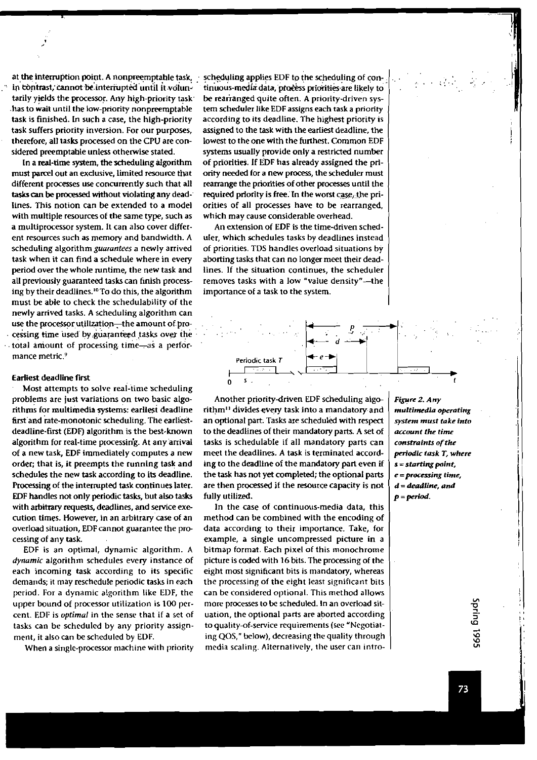at the interruption point. A nonpreemptable task, in contrast, cannot be interrupted until it voluntarily yields the processor. Any high-priority task: .has to Wait until the low-priority nonpreemptable task is finished. In such a case, the high-priority task suffers priority inversion. For our purposes, therefore, all tasks processed on the CPU are considered preemptable unless otherwise stated.

In a real-time system, the scheduling algorithm must parcel out an exdusive, limited resource that different processes use concurrently such that all tasks can be processed without violating any deadlines. This notion can be extended to a model with multiple resources of the Same type, such as a multiprocessor system. It can also cover different resources such as memory and bandwidth. A scheduling algorithm *guarantees* a newly arrived task when it can find a schedule where in every period over the whole runtime, the new task and all previously guaranteed tasks can finish processing by their deadlines.<sup>10</sup> To do this, the algorithm must be able to check the schedulability of the newly arrived tasks. **A** scheduling algorithm can use the processor utilization-the amount of processing time used by guaranteed tasks over the total amount of processing time-as a performance metric.<sup>9</sup>

#### Earliest deadline **first**

Most attempts to solve reai-time scheduling problems are just Variations on two basic algorithms for multimedia systems: earliest deadline first and rate-monotonic scheduling. The earliestdeadline-first **(EDF)** algorithm is the best-known algorithm for real-time processing. At any arrival of a new task, **EDF** immediately computes a new Order; that is, it preempts the running task and schedules the new task according to its deadline. Processing of the interrupted task continues later. EDF handles not only periodic tasks, but also tasks with arbitrary requests, deadlines, and service execution times. However, in an arbitrary case of an overload situation, EDF cannot guarantee the processing of any task.

**EDF** is an optimal, dynamic algorithm. A **dynamic** algorithm schedules every instance of each incoming task according to its specific demands; it may reschedule periodic tasks in each period. For a dynamic algorithm like **EDF,** the upper bound of processor utilization is 100 percent. EDF is *optimal* in the sense that if a set of tasks can be scheduled by any priority assignment, it also can **be** scheduled by **EDF.** 

When a single-processor machine with priority

scheduling applies EDF to the scheduling of continuous-media data, process priorities are likely to be rearranged quite often. A priority-driven system scheduler like **EDF** assigns each task a priority according to its deadline. The highest priority is assigned to the task with the earliest deadline, the lowest to the one with the furthest. Common EDF systems usually provide only a restricted number of priotitie\$. If **EDF** has already assigned the prionty needed for a new process, the scheduler must rearrange the prionties of other processes until the required priority is free. In the worst case, the priorities of all processes have to be rearranged, which may cause considerable overhead.

An extension of **EDF** is the time-driven scheduler, which schedules tasks by deadlines instead of priorities. **TDS** handles overload Situations by aborting tasks that can no longer meet their deadlines. If the situation continues, the scheduler removes tasks with a low "value density"-the importance of a task to the system.



Another priority-driven EDF scheduling algo- **Figure 2.** Any rithm<sup>11</sup> divides every task into a mandatory and *multimedia operating* an optional part. Tasks are scheduled with respect *system must take into* to the deadlines of their mandatory parts. A set of *accovnt thc time*  tasks is schedulable if all mandatory parts can | constraints of the meet the deadlines. A task is terminated accord- periodic task T, where ing to the deadline of the mandatory part even if  $\int s =$  *starting point,* the task has not yet completed; the optional parts  $\int e^z$  *e = processing time,* are then processed if the resource capacity is not  $\vert d =$  *deadline, and* fully utilized.  $p = period.$ 

In the case of continuous-media data, this method can be combined with the encoding of data according to their importance. Take, for example. a Single uncompressed picture in a bitmap format. Fach pixel of this monochrome picture is coded with **I6** bits. The processing of the eight most significant bits is mandatory, whereas the processing of the eight least significant bits can be considered optional. This method allows more processes to be scheduled. In an overload situation, the optional parts are aborted according<br>to quality-of-service requirements (see "Negotiating QOS," below), decreasing the quality through media scaling. Alternatively, the user can intro-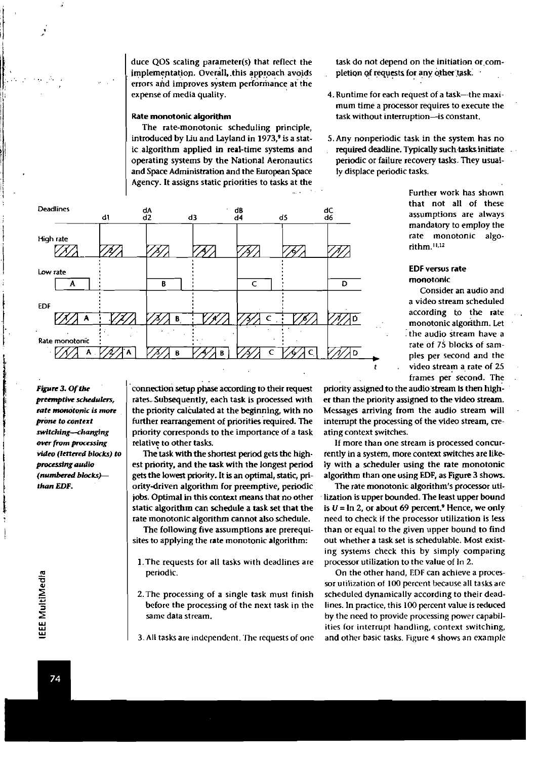duce QOS scaling parameter(s) that reflect the implementation. Overall, this approach avoids errors and improves system performance at the expense of media quality.

### Rate monotonic algorithm

The rate-monotonic scheduling principle, introduced by Liu and Layland in 1973,9 is a static algorithm applied in real-time systems and operating systems by the National Aeronautics and Space Administration and the European Space Agency. It assigns static priorities to tasks at the

task do not depend on the initiation or completion of requests for any other task.

- 4. Runtime for each request of a task--the maximum time a processor requires to execute the task without interruption--is constant.
- 5. Any nonperiodic task in the system has no required deadline. Typically such tasks initiate periodic or failure recovery tasks. They usually displace periodic tasks.

Further work has shown that not all of these assumptions are always mandatory to employ the rate monotonic algorithm.<sup>11,12</sup>

# **EDF** versus rate monotonic

Consider an audio and a video stream scheduled according to the rate monotonic algorithm. Let the audio stream have a rate of 75 blocks of samples per second and the video stream a rate of 25 frames per second. The

Figure 3. Of the preemptive schedulers, rate monotonic is more prone to context switching-changing over from processing video (lettered blocks) to processing audio (numbered blocks)than EDF.

connection setup phase according to their request rates. Subsequently, each task is processed with the priority calculated at the beginning, with no further rearrangement of priorities required. The priority corresponds to the importance of a task relative to other tasks.

The task with the shortest period gets the highest priority, and the task with the longest period gets the lowest priority. It is an optimal, static, priority-driven algorithm for preemptive, periodic jobs. Optimal in this context means that no other static algorithm can schedule a task set that the rate monotonic algorithm cannot also schedule.

The following five assumptions are prerequisites to applying the rate monotonic algorithm:

- 1. The requests for all tasks with deadlines are periodic.
- 2. The processing of a single task must finish before the processing of the next task in the same data stream.
- 3. All tasks are independent. The requests of one

priority assigned to the audio stream is then higher than the priority assigned to the video stream. Messages arriving from the audio stream will interrupt the processing of the video stream, creating context switches.

If more than one stream is processed concurrently in a system, more context switches are likely with a scheduler using the rate monotonic algorithm than one using EDF, as Figure 3 shows.

The rate monotonic algorithm's processor utilization is upper bounded. The least upper bound is  $U = \ln 2$ , or about 69 percent.<sup>9</sup> Hence, we only need to check if the processor utilization is less than or equal to the given upper bound to find out whether a task set is schedulable. Most existing systems check this by simply comparing processor utilization to the value of ln 2.

On the other hand, EDF can achieve a processor utilization of 100 percent because all tasks are scheduled dynamically according to their deadlines. In practice, this 100 percent value is reduced by the need to provide processing power capabilities for interrupt handling, context switching, and other basic tasks. Figure 4 shows an example

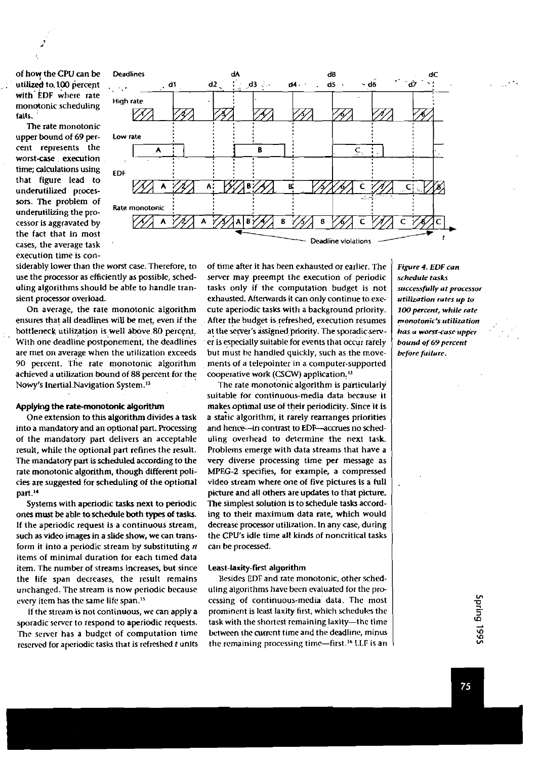with EDF where rate<br>With EDF where rate<br>High rate **High** monotonic scheduling fails.

The rate monotonic upper bound of 69 per- **Low** rate Cent represents the worst-case execution time; calculations using  $E$ <sub>EDF</sub> that figure lead to undemtilized processors. The problem of undemtiiizing the processor is aggravated by the fact that in most execution time is con-



siderably lower than the worst case. Therefore, to use the processor as efficiently as possible, scheduling algorithms should be able to handle transient processor overload.

On average, the rate monotonic algorithm ensures that all deadlines **will** be met, even if the bottleneck utilization is well above.80 percent. With one deadline postponement, the deadlines are met on average when the utilization exceeds 90 percent. The rate monotonic algorithm achieved a utilization bound of 88 percent for the Nowy's Inertial Navigation System.<sup>13</sup>

#### Applying the rate-monotonic dgorithm

One extension to this algorithm divides a task into a mandatory and an optional part. Processing of the mandatory part delivers an acceptable result, while the optional part refines the result. The mandatory part is scheduled according to the rate monotonic algorithm, though different policies are suggested for scheduling of the optional part.<sup>14</sup>

Systems with aperiodic tasks next to periodic ones must be able to xhedule both iypes of tasks. If the aperiodic request is a continuous stream, such **as** video images in a slide show, we can transform it into a periodic stream by substituting **n**  items of minimal duration for each timed data item. The number of streams increases. but since the life span decreases, the result remains unchanged. The stream is now periodic because cvery itcm has the Same life span."

If the stream is not continuous, wc can apply a sporadic server to respond to aperiodic requests. 'The server has a budget of computation time reserved for aperiodic tasks that is refreshed  $t$  units

of time after it has been exhausted or earlier. The server may preempt the execution of periodic tasks only if the computation budget is not exhausted. Aftenvards it can only continue to execute aperiodic tasks with a background priority. After the budget is refreshed, execution resumes at the server's assigned priority. The sporadic server is especially suitable for events that occur rarely but must be handled quickly, such as the movements of a telepointer in a computer-supported cooperative work **(CSCW)** application,"

The rate monotonic algorithm is particularly suitable for continuous-media data because it makes optimal use of their periodicity. Since it is a staiic algorithm; it rarely rearranges priorities and hence-in contrast to EDF-accrues no scheduling overhead to determine the next task. Problems emerge with data streams that have a very diverse processing time per message as MPEG-2 specifies, for example, a compressed video stream where one of five pictures is a full picture and all others are updates to that picture. The simplest solution is to schedule tasks according to their maximum data rate, which would decrease processor utilization. In any case, during the CPU's idle time all kinds of noncritical tasks can be processed.

#### Least-laxity-first algorithm

Hesides **EDF** and rate monotonic, other scheduling algorithms have been evaluated for the proccssing of continuous-media data. The most prominent is least laxity first. whirh schedules the task with the shortest remaining laxity-the time between the current time and the deadline, minus the rcmaining processing time-first.'" **I.LF** is an **Fiyre 4. EDF con schedule tark successfully ot processor utilkotion rriter up to lOOpercent, whilc rote monotonic's utilizotion has a worst-case upper bound of 69 percent bcfore fuilure.** 

Secing 1995

75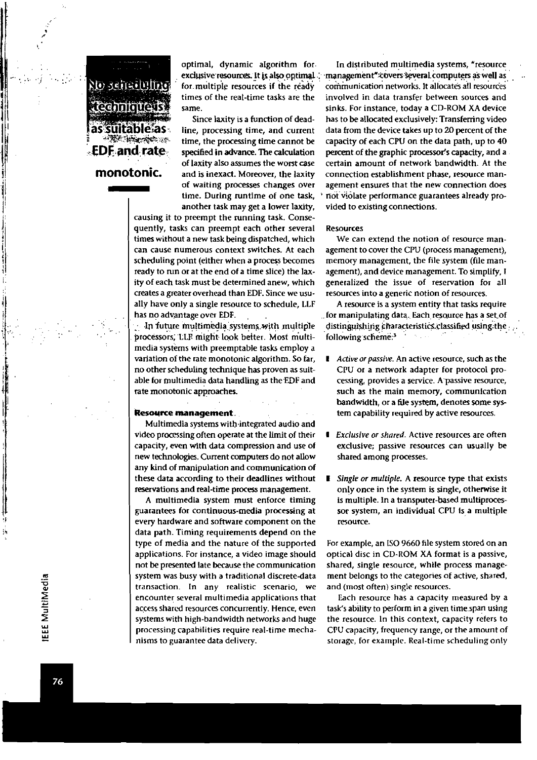uiluliarias ok **technique: 5** as sintable as ። ታይ ነው ነው የ **EDF** and rate



optimal, dynamic algorithm forfor multiple resources if the ready times of the real-time tasks are the same.

Since laxity is a function of deadline, processing time, and current time, the processing time cannot be specified in advance. The calculation of laxity also assumes the worst case and is inexact. Moreover, the laxity of waiting processes changes over time. During runtime of one task, another task may get a lower laxity,

causing it to preempt the running task. Consequently, tasks can preempt each other several times without a new task being dispatched, which can cause numerous context switches. At each scheduling point (either when a process becomes ready to run or at the end of a time slice) the laxity of each task must be determined anew, which creates a greater overhead than EDF. Since we usually have only a single resource to schedule. LLF has no advantage over EDF.

In future multimedia systems with multiple processors, LLF might look better. Most multimedia systems with preemptable tasks employ a variation of the rate monotonic algorithm. So far, no other scheduling technique has proven as suitable for multimedia data handling as the EDF and rate monotonic approaches.

## Resource management.

Multimedia systems with integrated audio and video processing often operate at the limit of their capacity, even with data compression and use of new technologies. Current computers do not allow any kind of manipulation and communication of these data according to their deadlines without reservations and real-time process management.

A multimedia system must enforce timing guarantees for continuous-media processing at every hardware and software component on the data path. Timing requirements depend on the type of media and the nature of the supported applications. For instance, a video image should not be presented late because the communication system was busy with a traditional discrete-data transaction. In any realistic scenario, we encounter several multimedia applications that access shared resources concurrently. Hence, even systems with high-bandwidth networks and huge processing capabilities require real-time mechanisms to guarantee data delivery.

In distributed multimedia systems, "resource exclusive resources. It is also optimal. management" covers several computers as well as communication networks. It allocates all resources involved in data transfer between sources and sinks. For instance, today a CD-ROM XA device has to be allocated exclusively: Transferring video data from the device takes up to 20 percent of the capacity of each CPU on the data path, up to 40 percent of the graphic processor's capacity, and a certain amount of network bandwidth. At the connection establishment phase, resource management ensures that the new connection does not violate performance guarantees already provided to existing connections.

## **Resources**

We can extend the notion of resource management to cover the CPU (process management), memory management, the file system (file management), and device management. To simplify, I generalized the issue of reservation for all resources into a generic notion of resources.

A resource is a system entity that tasks require for manipulating data. Each resource has a set of distinguishing characteristics classified using the following scheme:<sup>3</sup>  $\sigma_{\rm 0} = 100$ 

- Active or passive. An active resource, such as the CPU or a network adapter for protocol processing, provides a service. A passive resource, such as the main memory, communication bandwidth, or a file system, denotes some system capability required by active resources.
- Exclusive or shared. Active resources are often exclusive; passive resources can usually be shared among processes.
- $\blacksquare$ Single or multiple. A resource type that exists only once in the system is single, otherwise it is multiple. In a transputer-based multiprocessor system, an individual CPU is a multiple resource.

For example, an ISO 9660 file system stored on an optical disc in CD-ROM XA format is a passive, shared, single resource, while process management belongs to the categories of active, shared, and (most often) single resources.

Each resource has a capacity measured by a task's ability to perform in a given time span using the resource. In this context, capacity refers to CPU capacity, frequency range, or the amount of storage, for example. Real-time scheduling only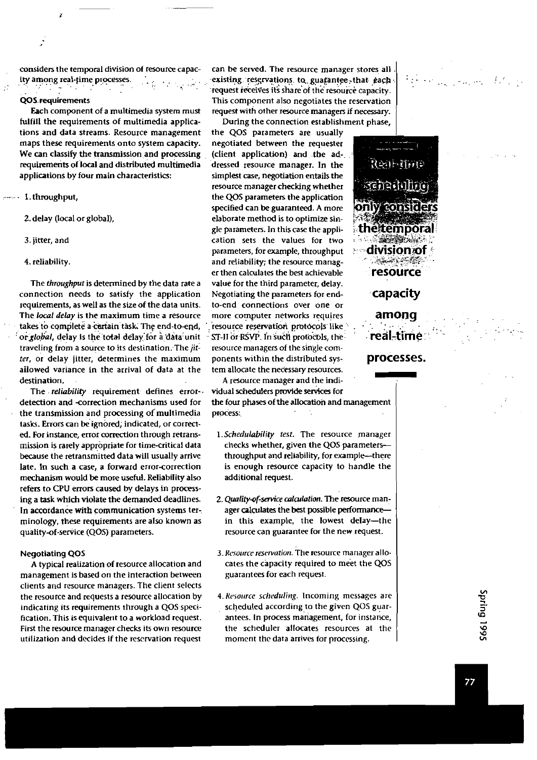considers the temporal division of resource capacity among real-time processes.

## **QOS requirements**

Each component of a multimedia system must fulfill the requirements of multimedia applications and data streams. Resource management maps these requirements onto system capacity. We can classify the transmission and processing requirements of local and distributed multimedia applications by four main characteristics:

- 1. throughput,
	- 2. delay (local or global),
	- 3. iitter, and
	- 4. reliability.

The throughput is determined by the data rate a connection needs to satisfy the application requirements, as well as the size of the data units. The local delay is the maximum time a resource takes to complete a certain task. The end-to-end, or global, delay is the total delay for a data unit traveling from a source to its destination. The jitter, or delay jitter, determines the maximum allowed variance in the arrival of data at the destination.

The reliability requirement defines error-. detection and -correction mechanisms used for the transmission and processing of multimedia tasks. Errors can be ignored, indicated, or corrected. For instance, error correction through retransmission is rarely appropriate for time-critical data because the retransmitted data will usually arrive late. In such a case, a forward error-correction mechanism would be more useful. Reliability also refers to CPU errors caused by delays in processing a task which violate the demanded deadlines. In accordance with communication systems terminology, these requirements are also known as quality-of-service (QOS) parameters.

## **Negotiating QOS**

A typical realization of resource allocation and management is based on the interaction between clients and resource managers. The client selects the resource and requests a resource allocation by indicating its requirements through a QOS specification. This is equivalent to a workload request. First the resource manager checks its own resource utilization and decides if the reservation request

can be served. The resource manager stores all existing reservations to guarantee that each request receives its share of the resource capacity. This component also negotiates the reservation request with other resource managers if necessary.

During the connection establishment phase, the QOS parameters are usually negotiated between the requester (client application) and the addressed resource manager. In the simplest case, negotiation entails the resource manager checking whether the QOS parameters the application specified can be guaranteed. A more elaborate method is to optimize single parameters. In this case the application sets the values for two parameters, for example, throughput and reliability; the resource manager then calculates the best achievable value for the third parameter, delay. Negotiating the parameters for endto-end connections over one or more computer networks requires resource reservation protocols like ST-II or RSVP. In such protocols, the resource managers of the single components within the distributed system allocate the necessary resources.

A resource manager and the individual schedulers provide services for the four phases of the allocation and management process:

- 1. Schedulability test. The resource manager checks whether, given the QOS parametersthroughput and reliability, for example--there is enough resource capacity to handle the additional request.
- 2. Quality-of-service calculation. The resource manager calculates the best possible performancein this example, the lowest delay-the resource can guarantee for the new request.
- 3. Resource reservation. The resource manager allocates the capacity required to meet the QOS guarantees for each request.
- 4. Resource scheduling. Incoming messages are scheduled according to the given QOS guarantees. In process management, for instance, the scheduler allocates resources at the moment the data arrives for processing.

सस्तो नहिरी **ខេតខរងា**កព thettempora Samp Ste Scot division of **CONTRACTOR** resource capacity among real-time. processes.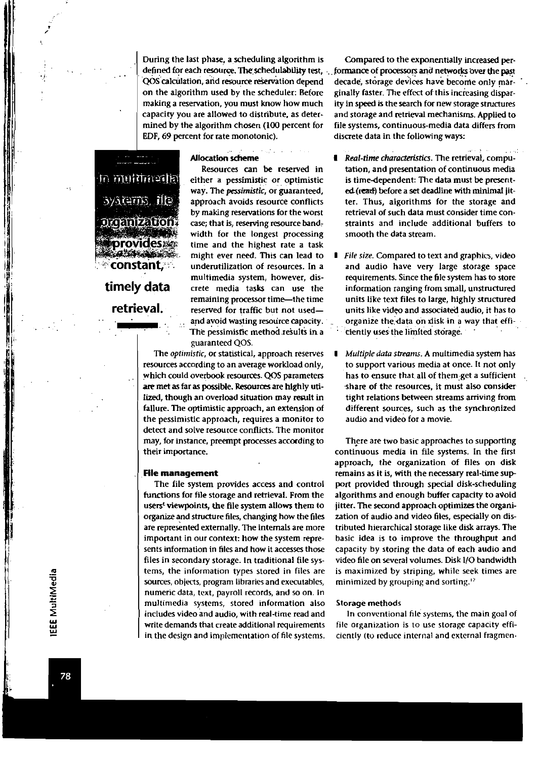During the last phase, a scheduling algorithm is defined for each resource. The schedulability test, . QOS calculation, and resource reservation depend on the algorithm used by the scheduler: Before making a reservation, you must know how much capacity you are allowed to distribute. as determined by the algorithm chosen (100 percent for EDF, 69 percent for rate monotonic).

in multimedia sväcens, ille ortanization provides スタチ あめぶる **constant** 

# Allocation **scheme**

Resources can **be** reserved in either a pessimlstic or optimistic way. The *pessimistic*, or guaranteed, approach avoids resource conflicts by making reservations for the worst case; that is, reserving resource bandwidth for the longest processing time and the highest rate a task might ever need. This can Lead to undemtilization of resources. In a multimedia system, however, dis**fimely data** crete media tasks can use the remaining processor time-the time **retrieval.** reserved for traffic but not usedand avoid wasting resource capacity. The pessimisfic method results in a guaranteed QOS.

The *optimistic*, or statistical, approach reserves resources according to an average workload only, which could overbook resources. QOS parameters are met as far as possible. Resources are highly utilized, though an overload situation may result in fallure. The opiimistic approach. an extension of the pessimistic approach, requires a monitor to detect and solve resource conflicts. The monitor may, for instance, preempt processes accotding to their importance.

# **File management**

The file system provides access and control functions for file storage and retrieval. From ihe users<sup>t</sup> viewpoints, the file system allows them to organize and structure files. changing how the files are represented externally. The internals are more important in our context: how the system represents information in files and how it accesses those files in secondary storage. In traditional file systems, the information types stored in files are sources, objects, program libraries and executables, numeric data, text, payroll records, and so on. In multimedia systems, stored information also includes video and audio, with real-time read and write demands that create additional requirements in the design and implementation of file systems.

Compared to the exponentially increased performance of processors and networks over the past decade, storage devices have become only marginally faster. The effect of this increasing disparity in speed is the search for new storage stmctures and storage and retrieval mechanisms. Applied to file systems, continuous-media data differs from discrete data in the following ways:

- Real-time characteristics. The retrieval, computation, and presentation of continuous media is timedependent: The data must **be** presented (read) before a set deadline with minimal jitter. Thus, algorithms for the storage and retrieval of such data must consider time constraints and include additional buffers to smooth the data stream.
- $\blacksquare$ File size. Compared to text and graphics. video and audio have very large storage space requirements. Since the file system has to store information ranging from small, unstmctured units like text files to large, highly stmctured units like video and associated audio, it has to organize the data on disk in a way that efficiently uses the limited storage.
- **I** Multiple data sireams. A multimedia system has to support various media at once. **It** not only has to ensure that all of them,get a sufficient Share of the resources. it must also consider tight relations between streams arriving from different sources, such as the synchronized audio and video for a movie.

There are two basic approaches to supporting continuous media in file systems. In the first approach, the organization of files on disk remains as it is, with the necessary real-time support provided through special disk-scheduling algorithms and enough buffer capacity to avoid jitter. The second approach optimizes the organization of audio and video files, especially on distributed hierarchical storage like disk arrays. The basic idea is to improve the throughput and capacity by storing the data of each audio and video file on several volumes. Disk 1/O bandwidth is maximized by striping, while seek times are minimized by grouping and sorting."

# Storage methods

In conventional file systems. the main goal of file organization is to use storage capacity efficiently (to reduce internal and external fragmen.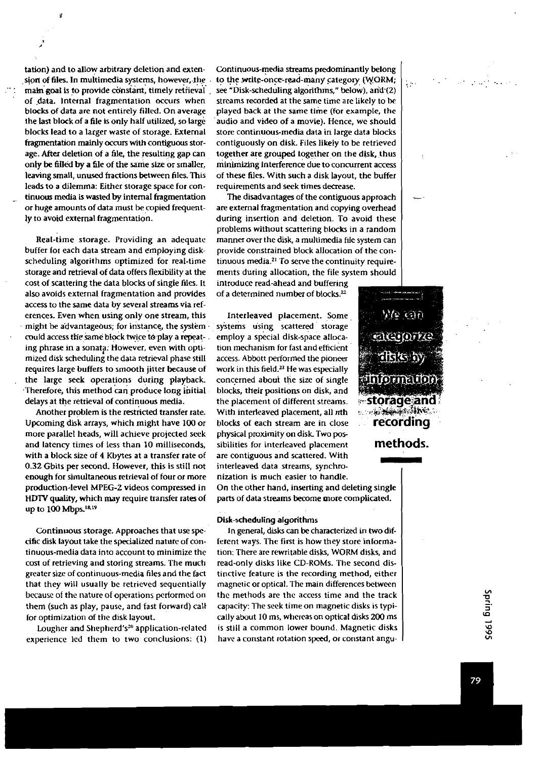tation) and to allow arbitrary deletion and extension of files. In multimedia systems, however, the main goal is to provide constant, timely retrieval of data. Internal fragmentation occurs when blocks of data are not entirely filled. On average the last blockof a file is only half utilized, so large blocks lead to a larger waste of storage. External fragmentation mainly occurs with contiguous storage. After deletion of a file, the resulting gap can only be hlled by a file of the same sizeor smaller, leaving small, unused fractions between files. This leads to a dilemma: Either storage space for continuous media is wasted by internal fragmentation or huge amounts of data must be copied frequently to avoid external fragmentation.

Real-time storage. Providing an adequate buffer for each data stream and employing diskscheduling algorithms optimized for real-time storage and retrieval of data offers flexibility at the cost of scattering the data blocks of single files. It also avoids external fragmentation and provides access to the same data by several streams via references. Even when using only one stream, this might be advantageous; for instance, the system could access the same block twice to play a repeating phrase in a sonata. However, even with optimized disk scheduling the data retrieval phase still requires large buffers to smooth jitter because of the large seek operations during playback. Therefore, this method can produce long initial delays at the retrieval of continuous media.

Another problem is the restricted transfer rate. Upcoming disk arrays, which might have 100 or more parallel heads, will achieve projected seek and latency times of less than 10 milliseconds, with a block size of 4 Kbytes at a transfer rate of 0.32 Gbits per second. However, this is still not enough for simultaneous retrieval of four or more production-level MPEG-2 videos compressed in HDiV **quality,** which may require transfer rates of up to 100 Mbps.<sup>18,19</sup>

Continuous storage. Approaches that use specific disk layout take the specialized nature of continuous-media data into account to minimize the cost of retrieving and storing streams. The much greater size of continuous-media files and the fact that they will usually be retrieved scquentially because of the nature of operations pcrformcd on them (such as play, pause, and fast forward) calt for optimization of the disk layout.

Lougher and Shepherd's<sup>20</sup> application-related experience led them to two conclusions: (1)

Continuous-media streams predominantly belong to the write-once-read-many category (WORM; see "Disk-scheduling algorithms," below), and (2) streams recorded at the same time are likely to be piayed back at the Same time (for example, the audio and video of a movie). Hence, we should store continuous-media data in large data blocks contiguously on disk. Files likely tobe retrieved together are grouped together on the disk, thus minimizing interference due to concurrent access of these files. With such a disk layout, the buffer requirements and seek times decrease.

The disadvantages of the contiguous approach are external fragmentation and copying overhead during insertion and deletion. To avoid these problems without scattering blocks in a random manner over the disk, a multimedia file system can provide constrained block allocation of the continuous media.<sup>21</sup> To serve the continuity requirements during allocation, the file system should

introduce read-ahead and buffering of a determined number of blocks. $^{22}$ 

Interleaved placement. Some systems using scattered storage employ a special disk-space allocation mechanism for fast and efficient access. Abbott performed the pioneer work in this field.<sup>23</sup> He was especially concerned about the size of single blocks, their positions on disk, and the placement of different streams. With interleaved placement, all nth With interleaved placement, all *n*th **represents the stream area in** close **recording** physical proximity on disk. Two possibilities for interleaved placement **methods.** are contiguous and scattered. interleaved data streams, synchronization is much easier to handle. On the other hand, inserting and deleting single

**Parts** of data streams become more complicated.

## Disk-scheduling algorithms

In general, disks can be characterized in two different ways. The fint is how they store information: There are rewritable disks, WORM disks, and read-only disks like CD-ROMS. The second distinctive feature is the recording method, either magnetic or optical. The main differences between thc methods are the access time and the track capacity: Ihe seek time on magnetic disks is typically about 10 ms, whereas on optical disks 200 ms is still a common lower bound. Magnetic disks have a constant rotation speed, or constant angu-



 $\sim$ 

79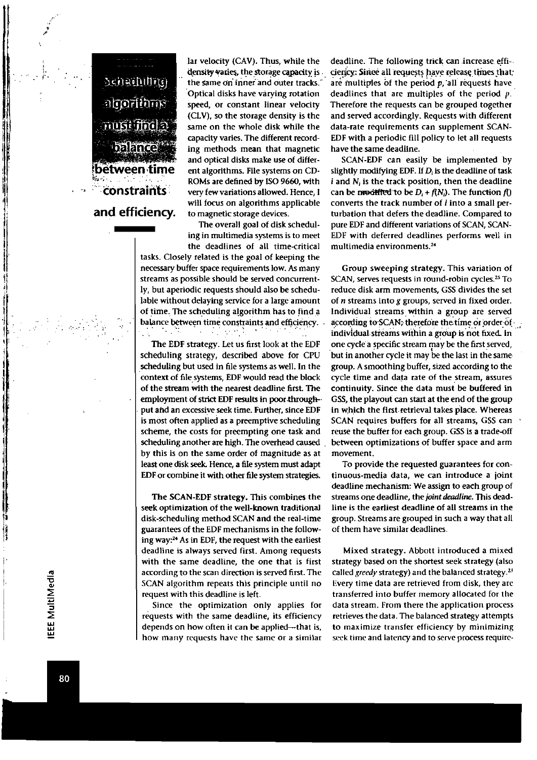Schachultag ាលាក់ពិកោទ nustificia balance

lar velocity (CAV). Thus, while the **density varies, the storage capacity is** the Same **bn** inner and outer tracks." Optical disks have varying rotation speed, or constant linear velocity (CLV). so the storage density is the same on the whole disk while the capacity varies. The different recording methods mean that magnetic and optical disks make use of differ**between time** ent algorithms. File systems on CD-<br>ROMs are defined by ISO 9660, with<br>**CONSTRAINTS** very few variations allowed. Hence. I very few variations allowed. Hence, I will focus on algorithms applicable **and efficiency.** to magnetic storage devices.

The overall goal of disk scheduling in multimedia systems is to meet the deadlines of all time-critical tasks. Closely related is the goal of keeping the necessary buffer space requirements low. As many streams as possible should be sewed concurrently, but aperiodic requests should also be schedulable without delaying service for a large amount<br>of time. The scheduling algorithm has to find a<br>balance between time constraints and efficiency. . . . .

The EDF strategy. Let us first look at the EDF scheduling strategy, described above for CPU scheduling but used in file systems as well. In the context of file systems, EDF would read the block of the meam with the nearest deadline fint. **The**  employment of strict EDF results in poor throughput and an excessive seek time. Further, since EDF is most often applied as a preemptive scheduling scheme, the costs for preempting one task and xheduling another are high. The overhead caused by this is on the same order of magnitude as at least one disk seek. Hence, a file system must adapt EDF or combine it with other file system strategies.

The SCAN-EDF strategy. This combines the seek optimization of the well-known traditional disk-scheduling method SCAN and the real-time guarantees of the EDF mechanisms in the following way:<sup>24</sup> As in EDF, the request with the earliest deadline is always sewed first. Among requests with the same deadline, the one that is first according to the scan direction is served first. The SCAN algorithm repeats this principle until no request with this deadline is left.

Since the optimization only applies for requests with the same deadline, its efficiency depends on how often it can be applied-that is, how many rcqucsts havc thc samc or a similar

deadline. The fallowing trick can increase efficiency: Since all requests have release times that: are multiples of the period  $p$ , all requests have deadlines that are multiples of the period  $p$ . Therefore the requests can be grouped together and served accordingly. Requests with different data-rate requirements can supplement SCAN-EDF with a periodic fill policy to let all requests have the Same deadline.

SCAN-EDF can easily be implemented by slightly modifying EDF. If  $D_i$  is the deadline of task **<sup>i</sup>**and **N,** is the track position, then the deadline can be modified to be  $D_i + f(N_i)$ . The function  $f()$ converts the track number of **i** into a small perturbation that defers the deadline. Compared to pure EDF and different Variations of SCAN, SCAN-EDF with deferred deadlines performs well in multimedia environments.<sup>24</sup>

Group sweeping strategy. This variation of SCAN, serves requests in round-robin cycles.<sup>25</sup> To reduce disk arm movements, GSS divides the set of *n* streams into *g* groups, served in fixed order. Individual streams within a group are served according to SCAN; therefore the time or order of individual streams within a group is not fixed. In one cycle a specific stream may be the first served, but in another cycle it may **be** the last in the same. group. A smoothing buffer, sized according to the cycle time and data rate of the stream, assures continuity. Since the data must be buffered in GSS, the playout **can** start at the end of the goup in which the fint-retrieval takes place. Whereas SCAN requires buffers for all streams, GSS can reuse the buffer for each group. GSS is a trade-off between optimizations of buffer space and arm movement.

To provide the requested guarantees for continuous-media data, we can introduce a joint deadline mechanism: We **assign** to each group of streams one deadline, the *joint deadline.* This deadline is the earliest deadline of all streams in the group. Streams are grouped in such a way that all of them have similar deadlines.

Mixed strategy. Abbott introduced a mixed strategy based on the shortest seek strategy (also called **greedy** strategy) and the balanced strategy." Every time data are retrieved from disk, they are transferred into buffer memory allocated for the data stream. From there the application process retrieves the data. The balanced strategy attempts to maximize transfer efficiency by minimizing seek time and latcncy and to serve process requirc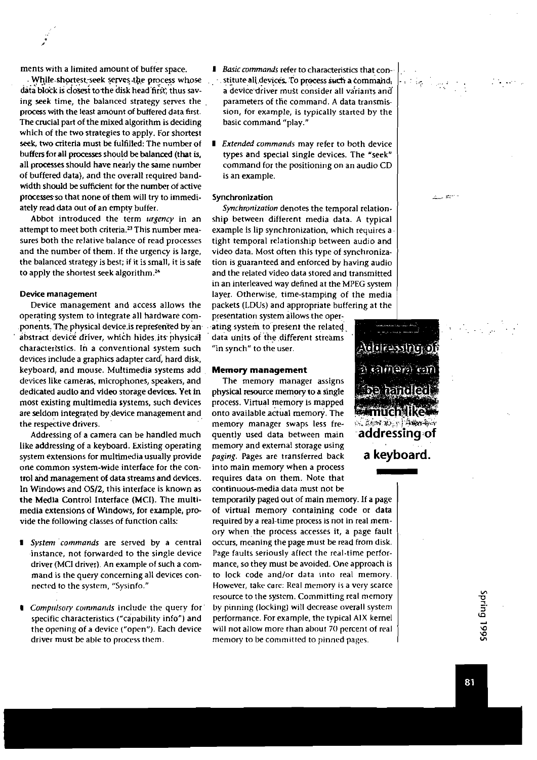ments with a limited amount of buffer space.

While-shortest-seek serves the process whose data block is closest to the disk head first, thus saving seek time, the balanced strategy serves the process with the least amount of buffered data first. The crucial part of the mixed algorithm is deciding which of the two strategies to apply. For shortest seek, two criteria must be fulfilled: The number of buffers for all processes should be balanced (that is. all processes should have nearly the Same number of buffered data), and the overall required bandwidth should **be** sufficient for the number of active processes-so that none of them will try to immediately read data out of an empty buffer.

Abbot introduced the term *urgency* in an attempt to meet both criteria.<sup>23</sup> This number measures both the relative balance of read processes and the number of them. If the urgency is large, the balanced strategy is best; if it is small. it is safe to apply the shortest seek algorithm.<sup>26</sup>

## Device management

Device management and access allows the operating system to integrate all hardware components. The physical device is represented by an. abstract device driver, which hides its physical charactertstics. In a conventional system such devices include a graphics adapter card; hard disk, keyboard, and mouse. Multimedia Systems add devices like cameras. microphones, speakers, and dedicated audio and video storage devices. Yet in most existing multimedia Systems, such devices are seldom integrated by.device management and the respective drivers.

Addressing of a camera can be handled much like addressing of a keyboard. Existing operating system extensions for multimedia usually provide one common system-wide interface for the control and management of data streams and devices. In Windows and OS/2, this interface is known as the Media Control Interface **(MCI).** The multimedia extensions of Windows, for example, provide the following classes of function calls:

- **I** System commands are served by a central instance, not forwarded to the singie device driver (MCI driver). An example of such a command is the query concerning all devices connected to the system, "Sysinfo."
- **I** Compulsory commands include the query for specific characteristics ("capability info") and the opening of a device ("open"). Each device driver must be able to process them.
- Basic commands refer to characteristics that con-, stitute all devices. To process such a command, a device driver must consider all variants and parameters of the command. A data transmission, for example, is typically started by the basic command "play."
- **Extended commands may refer to both device** types and Special single devices. The "seek" command for the positioning on an audio CD is an example.

#### Synchronization

Synchronization denotes the temporal relationship between different media data. A typical example is lip synchronization, which requires a tight temporal relationship between audio and video data. Most often this type of synchronization is guaranteed and enforced by having audio and the related video data stored and transmitted in an interleaved way defined at the MPEG System layer. Otherwise, time-stamping of the media packets (LDUs) and appropriate buffering at the

presentation system allows the operating system to present the related. data units of the different streams "in synch" to the user.

## **Memory management**

The memory manager assigns physical resource memory to a single process. Virtual memory is mapped onto available actual memory. The memory manager swaps less free constant the memory manager swaps less free constant the swap of quently used data between main memory and external storage using paging. Pages are transferred back **a keyboard.** into main memory when a process requires data on them. Note that continuous-media data must not be

temporarily paged out of main memory. If a page of virtual memory containing code or data required by a real-time process is not in real memory when the process accesses it, a page fault occurs, meaning the page must be read from disk. Page faults seriously affect the real-time performance, so they must be avoided. One approach is to lock code and/or data into real memory. However, take care: Real memory is a very scarce resource to the system. Committing real memory by pinning (locking) will decrease overall systern performance. For example, the typical AIX kerne1 will not allow more than about 70 percent of real memory to be committed to pinned pages.



a <del>servi</del>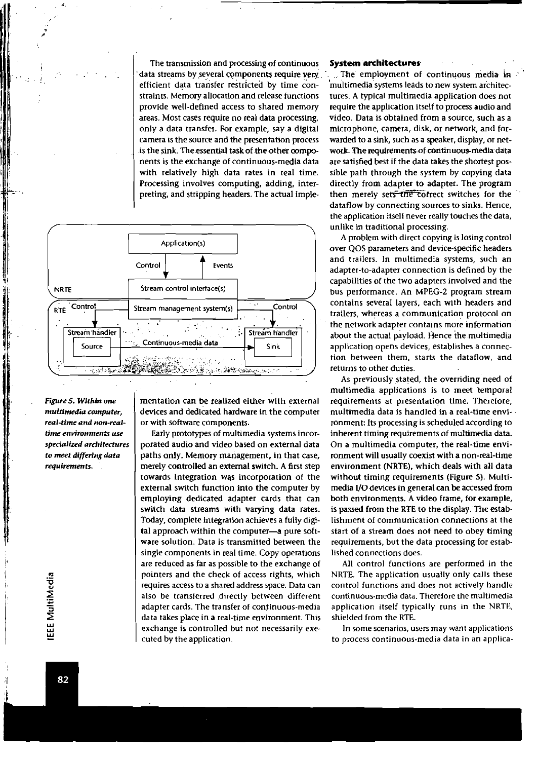The transmission and processing of continuous data streams by several cpmponents require **vew**  efficient data transfer restricted by time constraints. Memory allocation and release functions provide well-defined access to shared memory areas. Most cases require no real data processing, only a data transfer. For example, say a digital camera is the soure and the presentation process is the sink. The essential task of the other components is the exchange of continuous-media data with relatively high data rates in real time. Processing invoives computing, adding, interpreting. and stripping headers. The actual imple-



**Figure 5. WJthin one multimedia Computer, real-time arid non-real**time environments use **specializd architecfures to meet differing data requirements.** 

mentation can **be** realized either with external devices and dedicated hardware in the computer or with software components.

Early prototypes **of** multimedia Systems incorporated audio and video based on external data paths only. Memory management, in that case, merely controlled an extemal switch. A first step towards integration was incorporation of the external switch function into the computer by employing dedicated adapter cards that can switch data streams with varying data rates. Today, complete integration achieves a fully digital approach within the computer-a pure soft-Ware solution. Data is transmitted between the single components in real time. Copy operations are reduced as far as possible to the exchange of Pointers and the check of access rights, which requires access to a shared address space. Data can also be transferred directly between different adapter cards. The transfer of continuous-media data takes place in a real-time environment. This exchange is controlled but not necessarily exe. cuted by the application.

#### **System architectures**

. The employment of continuous media in . multimedia systems leads to new system architectures. A typical multimedia application does not require the application itself to process audio and video. Data is obtained from a source, such as a microphone. camera, disk, or network, and forwarded to a sink, such **as** a speaker, display. or network. The requirements of continuous-media data are satisfied best if the data takes the shortest possible path through the system by copying data directly from adapter to adapter. The program then merely sets the correct switches for the dataflow by connecting sources to sinks. Hence, the application itself never really touches the data, unlike in traditional processing.

A problem with direct copying is losing control over QOS Parameters and device-specific headers and trailers. In multimedia systems, such an adapter-to-adapter connection is defined by the capabilities of the two adapters involved and the bus performance. An MPEG-2 program stream contains several layers, each with headers and trailers, whereas a communication protocol on the network adapter contains more information about the actual payload. Hence the multimedia application Opens devices, establishes a connection between them. starts the dataflow, and returns to other duties.

As previously stated, the overriding need of multimedia applications is to meet temporal requirements at presentation time. Therefore, multimedia data is handled in a real-time environment: Its processing is scheduled according to inherent timing requirements of multimedia data. On a multimedia computer, the real-time environment will usually coexist with a non-real-time environment (NRTE). which deals with all data without timing requirements (Figure 5). Multimedia **110** devices in general can **be** accesed hom both environments. A video frame, for example, is passed from the RTE to the display. The establishment of communication Connections at the start of a stream does not need to obey timing requirements, but the data processing for established Connections does.

All control functions are performed in the NRTE. The application usually only calls these control functions and does not actively handle continuous-media data. Therefore the multimedia application itself typically runs in the NRTE, shielded from the RTE.

In some scenarios, users may want applications to process continuous-media data in an applica-

**EEE MultiMedia** 

,

,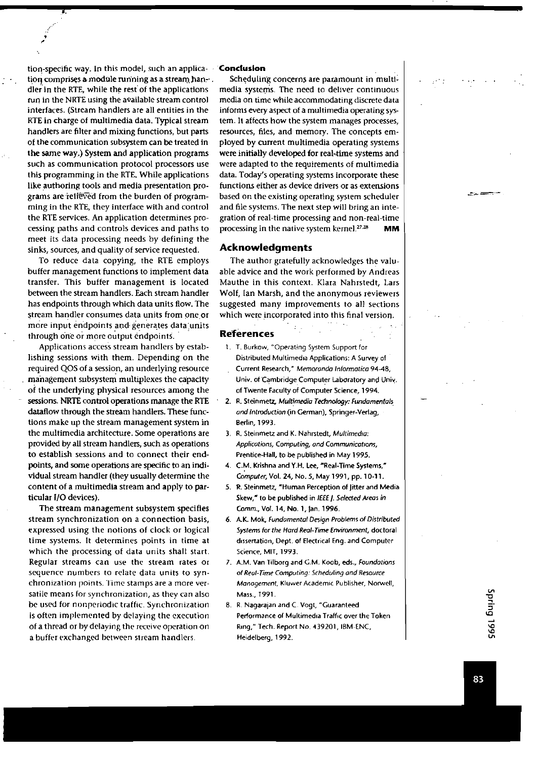tion-specific way. In this model, such an application comprises a module running as a stream han-.. dler in the RTE, while the rest of the applications run in the NRTE using the available stream control interfaces. (Stream handlers are all entities in the RTE in charge of multimedia data. Typical stream handlers are filter and mixing functions. but parts of the communication subsystem can **be** treated in the same way.) System and application programs such as communication protocol processors use this programming in the RTE. While applications like authoring tools and media presentation programs are relieved from the burden of programming in the RTE, they interface with and control the RTE Services. An application determines processing paths and controls devices and paths to meet its data processing needs by defining the sinks, sources, and quality of service requested.

To reduce data copying, the RTE employs buffer management functions to implement data transfer. This buffer management is located between the stream handlers. Each stream handler has endpoints through which data units flow. The stream handler consumes data units from one or more input endpoints and generates data units through one or more output endpoints.

Applications access stream handlers by establishing sessions with them. Depending on the required QOS of a session, an underlying resource management subsystem multiplexes the capacity of the underlying physical resources arnong the sessions. **NRTE** control operations manage the RTE dataflow through the stream handlers. These functions make up the stream management System in the multimedia architecture. Some operations are provided by all stream handlers, such as operations to establish sessions and to connect their endpoints, and some operations are specific to an individual stream handler (they usually determine the content of a multimedia stream and apply to particular I/O devices).

The stream management subsystem specifies stream synchronization on a connection basis, expressed using the notions of clock or logical time Systems. It detcrmincs points in time at which the processing of data units shall start. Regular streams can use thc stream rates or sequence numbers to relate data units to synchronization points. Time stampsare a more vcrsatile means for synchronization, as they can also be used for nonperiodic traffic. Synchronization is often implemented by delaying the cxecution of a thread or by delaying the rcceive Operation on a buffer exchanged between stream handlers.

#### **Conclusion**

Scheduling concerns are paramount in multimedia systems. The need to deliver continuous media On time while accommodating discrete data informs every aspect of a multimedia operating system. It affects how the system manages processes, resources, files, and memory. The concepts employed by current multimedia operating systems were initially developed for real-time systems and were adapted to the requirements of multimedia data. Today's operating systems incorporate these functions either as device drivers or as extensions based on the existing operating system scheduler and file systems. The next step will bring an integration of real-time processing and non-real-time processing in the native system kernel.<sup>27,28</sup> MM

# **Acknowledgments**

The author gratefully acknowledges the valuable advice and the work performed by Andreas Mauthe in this context. Klara Nahrstedt, Lars Wolf, lan Marsh, and the anonymous reviewers suggested many improvements to all sections which were incorporated into this final version.

. ~ .. .

#### **References**

- **1.** T. Burkow, "Operating System Support for Distributed Multimedia Applications: A Survey of Current Research,' Memoranda Infomotico **9448.**  Univ. of Cambridge Computer Laboratory and Univ. of Twente Faculiy of Computer Science, **1994.**
- 2. R. Steinmetz, Multimedia Technology: Fundamentals and Introduction (in German), Springer-Verlag, Berlin, **1993.**
- **3.** R. Steinmetz and K. Nahntedt, Mukimedio: Applications, Computing, and Communications, Prentice-Hall, tobe published in May **1995.**
- **4.** C.M. Krirhna and Y.H. **Lee,** "Real-Time Systems," &puler, Vol. **24,** No. **5.** May **1991,** pp. **10-1 1.**
- 5. R. Steinmetz, "Human Perception of litter and Media Skew," to be published in IEEE J. Selected Areas in Comm., Vol. **14.** No. **1, !an. 1996.**
- 6. A.K. Mok, Fundamental Design Problems of Distributed Systems for the Hard Real-Time Environment, doctoral dissertation, Dept. of Electrical Eng. and Computer Science, MIT. **1993.**
- **7.** A.M. Van Tilborg and C.M. Koob, eds., Foundations olReal-Time Computing: Srheduling **and Rerource**  Management, Kluwer Academic Publisher, Norwell, Marr., **1991**
- **8.** R. Nagarajan and C. Vagi. "Cuaranteed Periormance 01 Multimedia Traffic over the Token Ring," Tech. Report No. **439201,** IBM~ENC, Heidelberg. **1992.**

Seel pring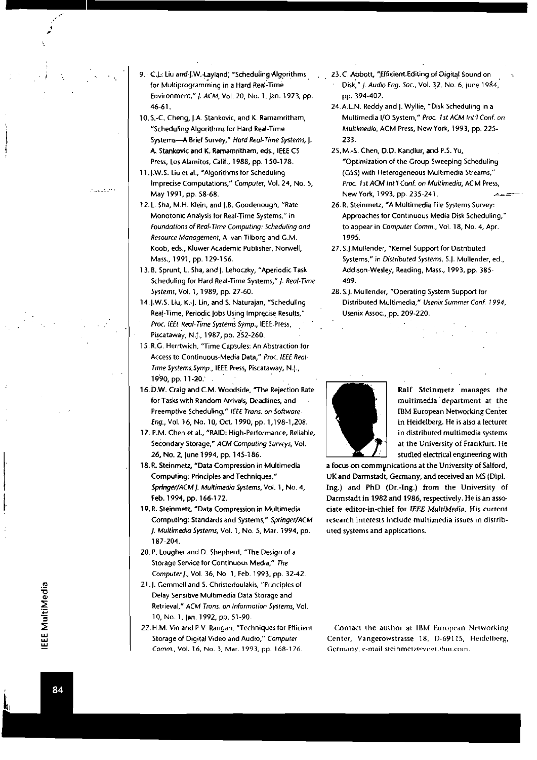- for Multiprogramming in a Hard Real-Time Environment," J. ACM, Vol. 20, No. 1, Jan. 1973, pp.  $46 - 61$ . 10. S.-C. Cheng, J.A. Stankovic, and K. Ramamritham,
- "Scheduling Algorithms for Hard Real-Time Systems-A Brief Survey," Hard Real-Time Systems, J. A. Stankovic and K. Ramamritham, eds., IEEE CS Press, Los Alamitos, Calif., 1988, pp. 150-178.

9. C.L. Liu and f.W. Layland; "Scheduling Algorithms

11.J.W.S. Liu et al., "Algorithms for Scheduling Imprecise Computations," Computer, Vol. 24, No. 5, May 1991, pp. 58-68.

Louis Inc.

- 12. L. Sha, M.H. Klein, and J.B. Goodenough, "Rate Monotonic Analysis for Real-Time Systems," in Foundations of Real-Time Computing: Scheduling ond Resource Management, A van Tilborg and G.M. Koob, eds., Kluwer Academic Publisher, Norwell, Mass., 1991, pp. 129-156.
- 13. B. Sprunt, L. Sha, and J. Lehoczky, "Aperiodic Task Scheduling for Hard Real-Time Systems," J. Real-Time Systems, Vol. 1, 1989, pp. 27-60.
- 14. J.W.S. Liu, K.-J. Lin, and S. Naturajan, "Scheduling Real-Time, Periodic Jobs Using Imprecise Results," Proc. IEEE Real-Time Systems Symp., IEEE Press. Piscataway, N.J., 1987, pp. 252-260.
- 15. R.G. Herrtwich, "Time Capsules: An Abstraction for Access to Continuous-Media Data," Proc. IEEE Real-Time Systems, Symp., IEEE Press, Piscataway, N.J., 1990, pp. 11-20.
- 16. D.W. Craig and C.M. Woodside, "The Rejection Rate for Tasks with Random Arrivals, Deadlines, and Preemptive Scheduling," IEEE Trans. on Software-Eng., Vol. 16, No. 10, Oct. 1990, pp. 1,198-1,208.
- 17. P.M. Chen et al., "RAID: High-Performance, Reliable, Secondary Storage," ACM Computing Surveys, Vol. 26, No. 2, June 1994, pp. 145-186.
- 18.R. Steinmetz, "Data Compression in Multimedia Computing: Principles and Techniques," Springer/ACM J. Multimedia Systems, Vol. 1, No. 4, Feb. 1994, pp. 166-172.
- 19. R. Steinmetz, "Data Compression in Multimedia Computing: Standards and Systems," Springer/ACM J. Multimedia Systems, Vol. 1, No. 5, Mar. 1994, pp. 187-204.
- 20. P. Lougher and D. Shepherd, "The Design of a Storage Service for Continuous Media," The Computer J., Vol. 36, No. 1, Feb. 1993, pp. 32-42.
- 21.J. Gemmell and S. Christodoulakis, "Principles of Delay Sensitive Multimedia Data Storage and Retrieval," ACM Trons. on Informotion Systems, Vol. 10, No. 1, Jan. 1992, pp. 51-90.
- 22. H.M. Vin and P.V. Rangan, "Techniques for Efficient Storage of Digital Video and Audio," Computer Comm., Vol. 16, No. 3, Mar. 1993, pp. 168-176.
- 23. C. Abbott, "Efficient Editing of Digital Sound on Disk," J. Audio Eng. Soc., Vol. 32, No. 6, June 1984, pp. 394-402.
- 24.A.L.N. Reddy and J. Wyllie, "Disk Scheduling in a Multimedia I/O System," Proc. 1st ACM Int'l Conf. on Multimedia, ACM Press, New York, 1993, pp. 225-233.
- 25. M.-S. Chen, D.D. Kandlur, and P.S. Yu, "Optimization of the Group Sweeping Scheduling (GSS) with Heterogeneous Multimedia Streams, Proc. 1st ACM Int'l Conf. on Multimedia, ACM Press, New York, 1993, pp. 235-241.
- 26. R. Steinmetz, "A Multimedia File Systems Survey: Approaches for Continuous Media Disk Scheduling," to appear in Computer Comm., Vol. 18, No. 4, Apr. 1995.
- 27. S.J.Mullender, "Kernel Support for Distributed Systems," in Distributed Systems, S.J. Mullender, ed., Addison-Wesley, Reading, Mass., 1993, pp. 385-409.
- 28. S.J. Mullender, "Operating System Support for Distributed Multimedia," Usenix Summer Conf. 1994, Usenix Assoc., pp. 209-220.



Ralf Steinmetz manages the multimedia department at the IBM European Networking Center in Heidelberg. He is also a lecturer in distributed multimedia systems at the University of Frankfurt. He studied electrical engineering with

a focus on communications at the University of Salford, UK and Darmstadt, Germany, and received an MS (Dipl.-Ing.) and PhD (Dr.-Ing.) from the University of Darmstadt in 1982 and 1986, respectively. He is an associate editor-in-chief for IEEE MultiMedia. His current research interests include multimedia issues in distributed systems and applications.

Contact the author at IBM European Networking Center, Vangerowstrasse 18, D-69115, Heidelberg, Germany, e-mail steinmetz@vnet.ibm.com.